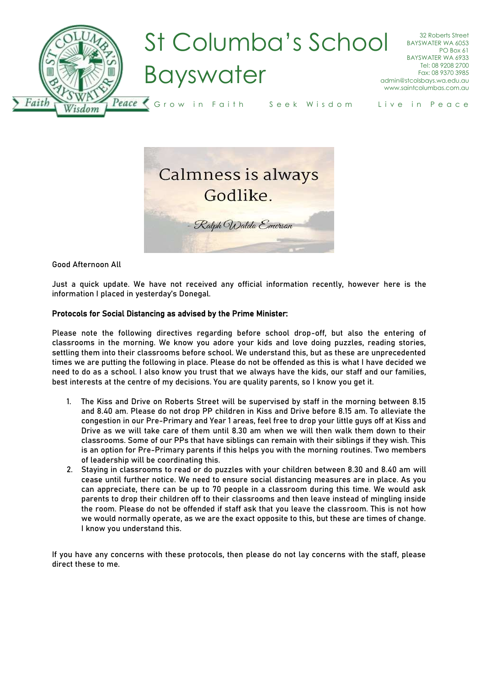



Good Afternoon All

Just a quick update. We have not received any official information recently, however here is the information I placed in yesterday's Donegal.

## Protocols for Social Distancing as advised by the Prime Minister:

Please note the following directives regarding before school drop-off, but also the entering of classrooms in the morning. We know you adore your kids and love doing puzzles, reading stories, settling them into their classrooms before school. We understand this, but as these are unprecedented times we are putting the following in place. Please do not be offended as this is what I have decided we need to do as a school. I also know you trust that we always have the kids, our staff and our families, best interests at the centre of my decisions. You are quality parents, so I know you get it.

- 1. The Kiss and Drive on Roberts Street will be supervised by staff in the morning between 8.15 and 8.40 am. Please do not drop PP children in Kiss and Drive before 8.15 am. To alleviate the congestion in our Pre-Primary and Year 1 areas, feel free to drop your little guys off at Kiss and Drive as we will take care of them until 8.30 am when we will then walk them down to their classrooms. Some of our PPs that have siblings can remain with their siblings if they wish. This is an option for Pre-Primary parents if this helps you with the morning routines. Two members of leadership will be coordinating this.
- 2. Staying in classrooms to read or do puzzles with your children between 8.30 and 8.40 am will cease until further notice. We need to ensure social distancing measures are in place. As you can appreciate, there can be up to 70 people in a classroom during this time. We would ask parents to drop their children off to their classrooms and then leave instead of mingling inside the room. Please do not be offended if staff ask that you leave the classroom. This is not how we would normally operate, as we are the exact opposite to this, but these are times of change. I know you understand this.

If you have any concerns with these protocols, then please do not lay concerns with the staff, please direct these to me.